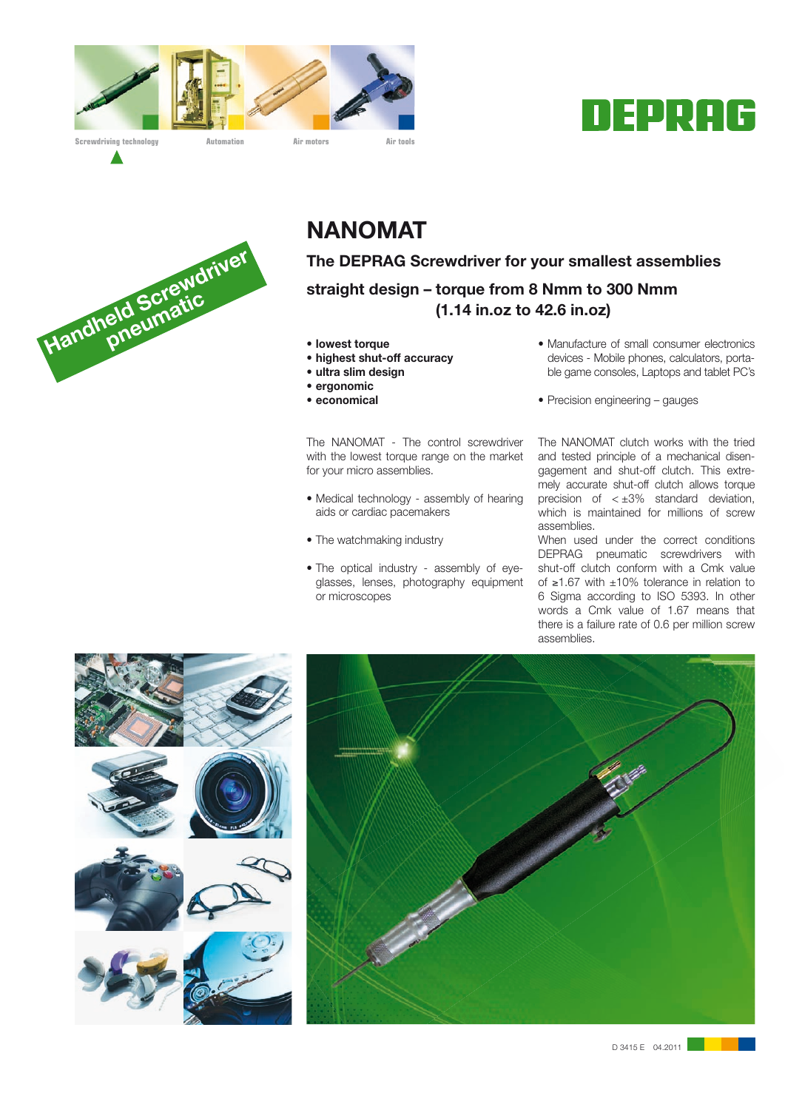







# **NANOMAT**

**The DEPRAG Screwdriver for your smallest assemblies straight design – torque from 8 Nmm to 300 Nmm (1.14 in.oz to 42.6 in.oz)**

- **lowest torque**
- **highest shut-off accuracy**
- **ultra slim design**
- **ergonomic**
- **economical**

The NANOMAT - The control screwdriver with the lowest torque range on the market for your micro assemblies.

- Medical technology assembly of hearing aids or cardiac pacemakers
- The watchmaking industry
- The optical industry assembly of eyeglasses, lenses, photography equipment or microscopes
- Manufacture of small consumer electronics devices - Mobile phones, calculators, portable game consoles, Laptops and tablet PC's
- Precision engineering gauges

The NANOMAT clutch works with the tried and tested principle of a mechanical disengagement and shut-off clutch. This extremely accurate shut-off clutch allows torque precision of  $\lt \pm 3\%$  standard deviation, which is maintained for millions of screw assemblies.

When used under the correct conditions DEPRAG pneumatic screwdrivers with shut-off clutch conform with a Cmk value of ≥1.67 with ±10% tolerance in relation to 6 Sigma according to ISO 5393. In other words a Cmk value of 1.67 means that there is a failure rate of 0.6 per million screw assemblies.

D 3415 E 04.2011